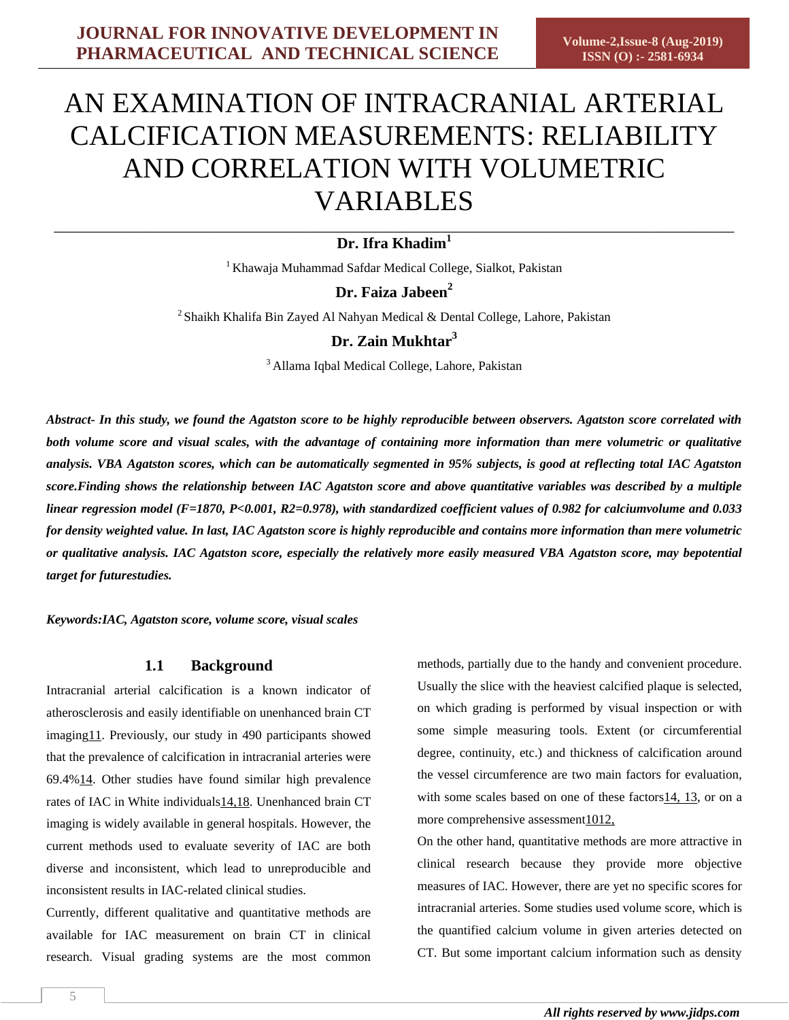# \_\_\_\_\_\_\_\_\_\_\_\_\_\_\_\_\_\_\_\_\_\_\_\_\_\_\_\_\_\_\_\_\_\_\_\_\_\_\_\_\_\_\_\_\_\_\_\_\_\_\_\_\_\_\_\_\_\_\_\_\_\_\_\_\_\_\_\_\_\_\_\_\_\_\_\_\_\_\_\_\_\_\_\_\_\_\_\_ **Dr. Ifra Khadim<sup>1</sup>**

<sup>1</sup> Khawaja Muhammad Safdar Medical College, Sialkot, Pakistan

# **Dr. Faiza Jabeen<sup>2</sup>**

<sup>2</sup> Shaikh Khalifa Bin Zayed Al Nahyan Medical & Dental College, Lahore, Pakistan

**Dr. Zain Mukhtar<sup>3</sup>**

<sup>3</sup> Allama Iqbal Medical College, Lahore, Pakistan

*Abstract- In this study, we found the Agatston score to be highly reproducible between observers. Agatston score correlated with both volume score and visual scales, with the advantage of containing more information than mere volumetric or qualitative analysis. VBA Agatston scores, which can be automatically segmented in 95% subjects, is good at reflecting total IAC Agatston score.Finding shows the relationship between IAC Agatston score and above quantitative variables was described by a multiple linear regression model (F=1870, P<0.001, R2=0.978), with standardized coefficient values of 0.982 for calciumvolume and 0.033 for density weighted value. In last, IAC Agatston score is highly reproducible and contains more information than mere volumetric or qualitative analysis. IAC Agatston score, especially the relatively more easily measured VBA Agatston score, may bepotential target for futurestudies.*

*Keywords:IAC, Agatston score, volume score, visual scales*

# **1.1 Background**

Intracranial arterial calcification is a known indicator of atherosclerosis and easily identifiable on unenhanced brain CT imaging11. Previously, our study in 490 participants showed that the prevalence of calcification in intracranial arteries were 69.4[%14.](#page-5-0) Other studies have found similar high prevalence rates of IAC in White individuals14,18. Unenhanced brain CT imaging is widely available in general hospitals. However, the current methods used to evaluate severity of IAC are both diverse and inconsistent, which lead to unreproducible and inconsistent results in IAC-related clinical studies.

Currently, different qualitative and quantitative methods are available for IAC measurement on brain CT in clinical research. Visual grading systems are the most common methods, partially due to the handy and convenient procedure. Usually the slice with the heaviest calcified plaque is selected, on which grading is performed by visual inspection or with some simple measuring tools. Extent (or circumferential degree, continuity, etc.) and thickness of calcification around the vessel circumference are two main factors for evaluation, with some scales based on one of these factors14, 13, or on a more comprehensive assessment1012,

On the other hand, quantitative methods are more attractive in clinical research because they provide more objective measures of IAC. However, there are yet no specific scores for intracranial arteries. Some studies used volume score, which is the quantified calcium volume in given arteries detected on CT. But some important calcium information such as density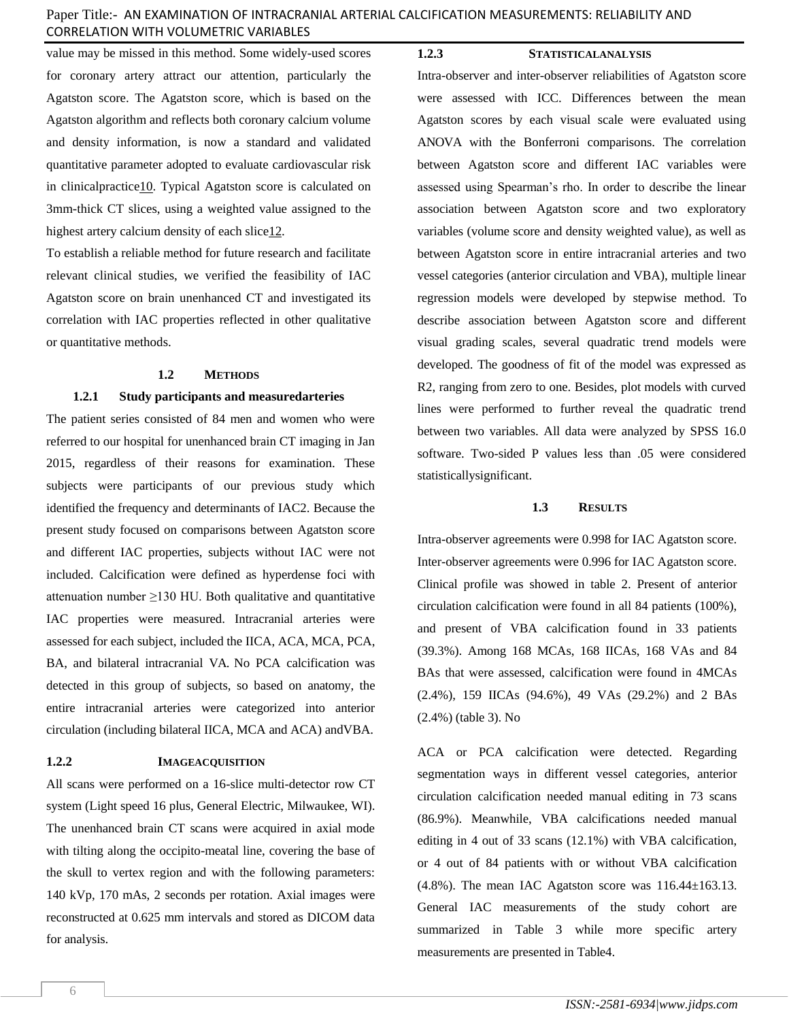value may be missed in this method. Some widely-used scores for coronary artery attract our attention, particularly the Agatston score. The Agatston score, which is based on the Agatston algorithm and reflects both coronary calcium volume and density information, is now a standard and validated quantitative parameter adopted to evaluate cardiovascular risk in clinicalpractic[e10.](#page-5-1) Typical Agatston score is calculated on 3mm-thick CT slices, using a weighted value assigned to the highest artery calcium density of each slice12.

To establish a reliable method for future research and facilitate relevant clinical studies, we verified the feasibility of IAC Agatston score on brain unenhanced CT and investigated its correlation with IAC properties reflected in other qualitative or quantitative methods.

### **1.2 METHODS**

#### **1.2.1 Study participants and measuredarteries**

The patient series consisted of 84 men and women who were referred to our hospital for unenhanced brain CT imaging in Jan 2015, regardless of their reasons for examination. These subjects were participants of our previous study which identified the frequency and determinants of IAC2. Because the present study focused on comparisons between Agatston score and different IAC properties, subjects without IAC were not included. Calcification were defined as hyperdense foci with attenuation number  $\geq$ 130 HU. Both qualitative and quantitative IAC properties were measured. Intracranial arteries were assessed for each subject, included the IICA, ACA, MCA, PCA, BA, and bilateral intracranial VA. No PCA calcification was detected in this group of subjects, so based on anatomy, the entire intracranial arteries were categorized into anterior circulation (including bilateral IICA, MCA and ACA) andVBA.

#### **1.2.2 IMAGEACQUISITION**

All scans were performed on a 16-slice multi-detector row CT system (Light speed 16 plus, General Electric, Milwaukee, WI). The unenhanced brain CT scans were acquired in axial mode with tilting along the occipito-meatal line, covering the base of the skull to vertex region and with the following parameters: 140 kVp, 170 mAs, 2 seconds per rotation. Axial images were reconstructed at 0.625 mm intervals and stored as DICOM data for analysis.

#### **1.2.3 STATISTICALANALYSIS**

Intra-observer and inter-observer reliabilities of Agatston score were assessed with ICC. Differences between the mean Agatston scores by each visual scale were evaluated using ANOVA with the Bonferroni comparisons. The correlation between Agatston score and different IAC variables were assessed using Spearman's rho. In order to describe the linear association between Agatston score and two exploratory variables (volume score and density weighted value), as well as between Agatston score in entire intracranial arteries and two vessel categories (anterior circulation and VBA), multiple linear regression models were developed by stepwise method. To describe association between Agatston score and different visual grading scales, several quadratic trend models were developed. The goodness of fit of the model was expressed as R2, ranging from zero to one. Besides, plot models with curved lines were performed to further reveal the quadratic trend between two variables. All data were analyzed by SPSS 16.0 software. Two-sided P values less than .05 were considered statisticallysignificant.

#### **1.3 RESULTS**

Intra-observer agreements were 0.998 for IAC Agatston score. Inter-observer agreements were 0.996 for IAC Agatston score. Clinical profile was showed in table 2. Present of anterior circulation calcification were found in all 84 patients (100%), and present of VBA calcification found in 33 patients (39.3%). Among 168 MCAs, 168 IICAs, 168 VAs and 84 BAs that were assessed, calcification were found in 4MCAs (2.4%), 159 IICAs (94.6%), 49 VAs (29.2%) and 2 BAs (2.4%) (table 3). No

ACA or PCA calcification were detected. Regarding segmentation ways in different vessel categories, anterior circulation calcification needed manual editing in 73 scans (86.9%). Meanwhile, VBA calcifications needed manual editing in 4 out of 33 scans (12.1%) with VBA calcification, or 4 out of 84 patients with or without VBA calcification  $(4.8\%)$ . The mean IAC Agatston score was  $116.44\pm163.13$ . General IAC measurements of the study cohort are summarized in Table 3 while more specific artery measurements are presented in Table4.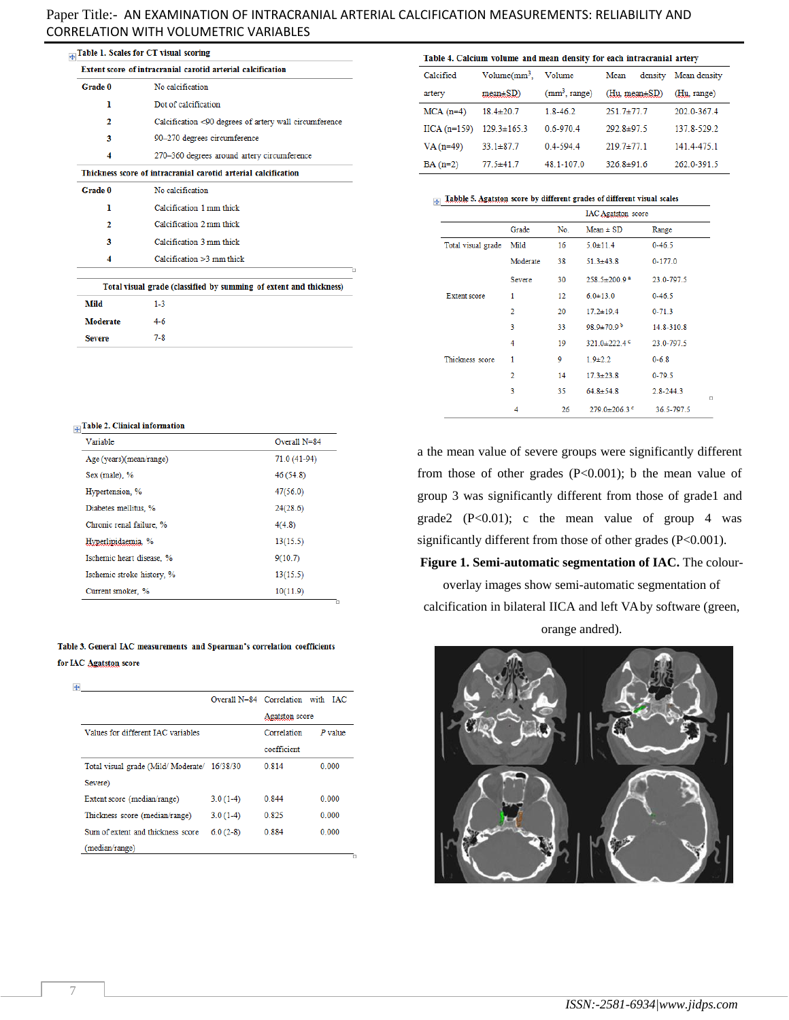|                                                             | Table 1. Scales for CT visual scoring                          |  |  |
|-------------------------------------------------------------|----------------------------------------------------------------|--|--|
| Extent score of intracranial carotid arterial calcification |                                                                |  |  |
| Grade 0                                                     | No calcification                                               |  |  |
| ı                                                           | Dot of calcification                                           |  |  |
| 2                                                           | Calcification <90 degrees of artery wall circumference         |  |  |
| 3                                                           | 90-270 degrees circumference                                   |  |  |
| 4                                                           | 270-360 degrees around artery circumference                    |  |  |
|                                                             | Thickness score of intracranial carotid arterial calcification |  |  |
| Grade 0                                                     | No calcification                                               |  |  |
| ı                                                           | Calcification 1 mm thick                                       |  |  |
|                                                             |                                                                |  |  |

Calcification 2 mm thick

Calcification 3 mm thick Calcification >3 mm thick

 $1-3$ 

Total visual grade (classified by summing of extent and thickness)

Overall N=84

71.0 (41-94)

46 (54.8)

 $47(56.0)$ 

 $24(28.6)$ 

 $13(15.5)$ 

 $10(11.9)$ 

 $4(4.8)$  $13(15.5)$  $9(10.7)$ 

| Table 4. Calcium volume and mean density for each intracranial artery |                   |                           |                     |              |  |
|-----------------------------------------------------------------------|-------------------|---------------------------|---------------------|--------------|--|
| Calcified                                                             | $Volume/mm^3$ ,   | Volume                    | Mean<br>density     | Mean density |  |
| artery                                                                | $mean \pm SD$ )   | (mm <sup>3</sup> , range) | $(Hu, mean \pm SD)$ | (Hu, range)  |  |
| $MCA(n=4)$                                                            | $18.4 \pm 20.7$   | $1.8 - 46.2$              | $251.7 \pm 77.7$    | 202 0-367 4  |  |
| $\text{IICA}$ (n=159)                                                 | $129.3 \pm 165.3$ | $06 - 9704$               | $292.8 \pm 97.5$    | 137 8-529 2  |  |
| $VA(n=49)$                                                            | $33.1 \pm 87.7$   | $04-5944$                 | $2197+1771$         | 141.4-475.1  |  |
| $BA(n=2)$                                                             | $77.5 \pm 41.7$   | 48 1-107 0                | $326.8 \pm 91.6$    | 262 0-391 5  |  |

## $\frac{1}{\sqrt{1+\frac{1}{2}}}$  Tabble 5. Agatston score by different grades of different visual scales

|                     |                |     | <b>IAC Agatston</b> score      |               |        |
|---------------------|----------------|-----|--------------------------------|---------------|--------|
|                     | Grade          | No. | $Mean \pm SD$                  | Range         |        |
| Total visual grade  | Mild           | 16  | $5.0 \pm 11.4$                 | $0 - 46.5$    |        |
|                     | Moderate       | 38  | $51.3 \pm 43.8$                | $0 - 177.0$   |        |
|                     | Severe         | 30  | $258.5 \pm 200.9$ <sup>a</sup> | 23.0-797.5    |        |
| <b>Extent score</b> | 1              | 12  | $6.0 \pm 13.0$                 | $0 - 46.5$    |        |
|                     | $\overline{2}$ | 20  | $17.2 \pm 19.4$                | $0 - 71.3$    |        |
|                     | 3              | 33  | 98.9±70.9 <sup>b</sup>         | 14.8-310.8    |        |
|                     | 4              | 19  | 321.0 $\pm$ 222.4 °            | 23.0-797.5    |        |
| Thickness score     | 1              | 9   | $1.9 + 2.2$                    | $0 - 6.8$     |        |
|                     | $\overline{2}$ | 14  | $17.3 \pm 23.8$                | $0 - 79.5$    |        |
|                     | 3              | 35  | $64.8 \pm 54.8$                | $2.8 - 244.3$ | $\Box$ |
|                     | 4              | 26  | $279.0 \pm 206.3$ °            | 36.5-797.5    |        |

a the mean value of severe groups were significantly different from those of other grades (P<0.001); b the mean value of group 3 was significantly different from those of grade1 and grade2  $(P<0.01)$ ; c the mean value of group 4 was significantly different from those of other grades (P<0.001).

#### **Figure 1. Semi-automatic segmentation of IAC.** The colour-

overlay images show semi-automatic segmentation of calcification in bilateral IICA and left VA by software (green, orange andred).



| Hyperlipidaemia. %        |  |
|---------------------------|--|
| Ischemic heart disease. % |  |

Ischemic stroke history, %

Current smoker, %

 $\frac{1}{|x|}$ Table 2. Clinical information

Age (years)(mean/range)

 $\overline{\mathbf{2}}$ 

3

 $\overline{\mathbf{4}}$ 

Mild

Moderate

**Severe** 

Variable

Sex (male), %

Hypertension, %

Diabetes mellitus, %

Chronic renal failure, %

#### Table 3. General IAC measurements and Spearman's correlation coefficients for IAC Agatston score

 $\ddot{\Phi}$ 

|                                             |            | Overall N=84 Correlation with IAC |           |
|---------------------------------------------|------------|-----------------------------------|-----------|
|                                             |            | Agatston score                    |           |
| Values for different IAC variables          |            | Correlation                       | $P$ value |
|                                             |            | coefficient                       |           |
| Total visual grade (Mild/Moderate/ 16/38/30 |            | 0 8 1 4                           | 0.000     |
| Severe)                                     |            |                                   |           |
| Extent score (median/range)                 | $3.0(1-4)$ | 0.844                             | 0.000     |
| Thickness score (median/range)              | $3.0(1-4)$ | 0.825                             | 0.000     |
| Sum of extent and thickness score           | $6.0(2-8)$ | 0.884                             | 0.000     |
| (median/range)                              |            |                                   |           |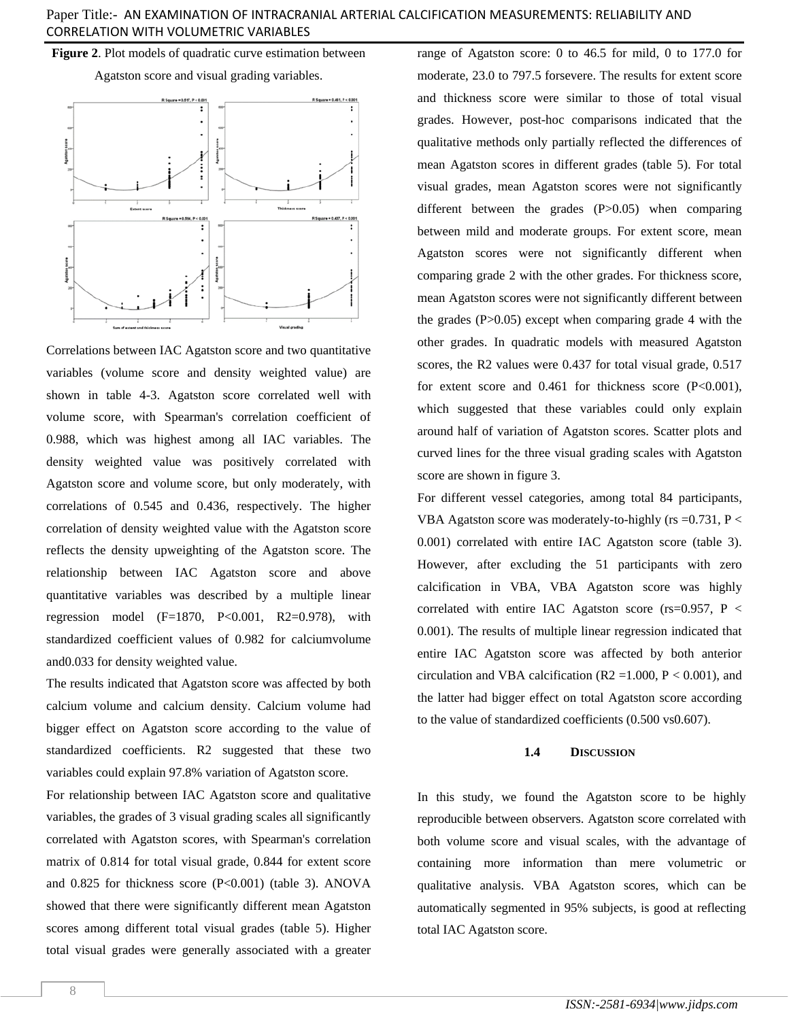**Figure 2**. Plot models of quadratic curve estimation between

Agatston score and visual grading variables.



Correlations between IAC Agatston score and two quantitative variables (volume score and density weighted value) are shown in table 4-3. Agatston score correlated well with volume score, with Spearman's correlation coefficient of 0.988, which was highest among all IAC variables. The density weighted value was positively correlated with Agatston score and volume score, but only moderately, with correlations of 0.545 and 0.436, respectively. The higher correlation of density weighted value with the Agatston score reflects the density upweighting of the Agatston score. The relationship between IAC Agatston score and above quantitative variables was described by a multiple linear regression model  $(F=1870, P<0.001, R2=0.978)$ , with standardized coefficient values of 0.982 for calciumvolume and0.033 for density weighted value.

The results indicated that Agatston score was affected by both calcium volume and calcium density. Calcium volume had bigger effect on Agatston score according to the value of standardized coefficients. R2 suggested that these two variables could explain 97.8% variation of Agatston score.

For relationship between IAC Agatston score and qualitative variables, the grades of 3 visual grading scales all significantly correlated with Agatston scores, with Spearman's correlation matrix of 0.814 for total visual grade, 0.844 for extent score and 0.825 for thickness score (P<0.001) (table 3). ANOVA showed that there were significantly different mean Agatston scores among different total visual grades (table 5). Higher total visual grades were generally associated with a greater

range of Agatston score: 0 to 46.5 for mild, 0 to 177.0 for moderate, 23.0 to 797.5 forsevere. The results for extent score and thickness score were similar to those of total visual grades. However, post-hoc comparisons indicated that the qualitative methods only partially reflected the differences of mean Agatston scores in different grades (table 5). For total visual grades, mean Agatston scores were not significantly different between the grades (P>0.05) when comparing between mild and moderate groups. For extent score, mean Agatston scores were not significantly different when comparing grade 2 with the other grades. For thickness score, mean Agatston scores were not significantly different between the grades  $(P>0.05)$  except when comparing grade 4 with the other grades. In quadratic models with measured Agatston scores, the R2 values were 0.437 for total visual grade, 0.517 for extent score and  $0.461$  for thickness score (P<0.001), which suggested that these variables could only explain around half of variation of Agatston scores. Scatter plots and curved lines for the three visual grading scales with Agatston score are shown in figure 3.

For different vessel categories, among total 84 participants, VBA Agatston score was moderately-to-highly ( $rs = 0.731$ ,  $P <$ 0.001) correlated with entire IAC Agatston score (table 3). However, after excluding the 51 participants with zero calcification in VBA, VBA Agatston score was highly correlated with entire IAC Agatston score (rs=0.957, P < 0.001). The results of multiple linear regression indicated that entire IAC Agatston score was affected by both anterior circulation and VBA calcification ( $R2 = 1.000$ ,  $P < 0.001$ ), and the latter had bigger effect on total Agatston score according to the value of standardized coefficients (0.500 vs0.607).

### **1.4 DISCUSSION**

In this study, we found the Agatston score to be highly reproducible between observers. Agatston score correlated with both volume score and visual scales, with the advantage of containing more information than mere volumetric or qualitative analysis. VBA Agatston scores, which can be automatically segmented in 95% subjects, is good at reflecting total IAC Agatston score.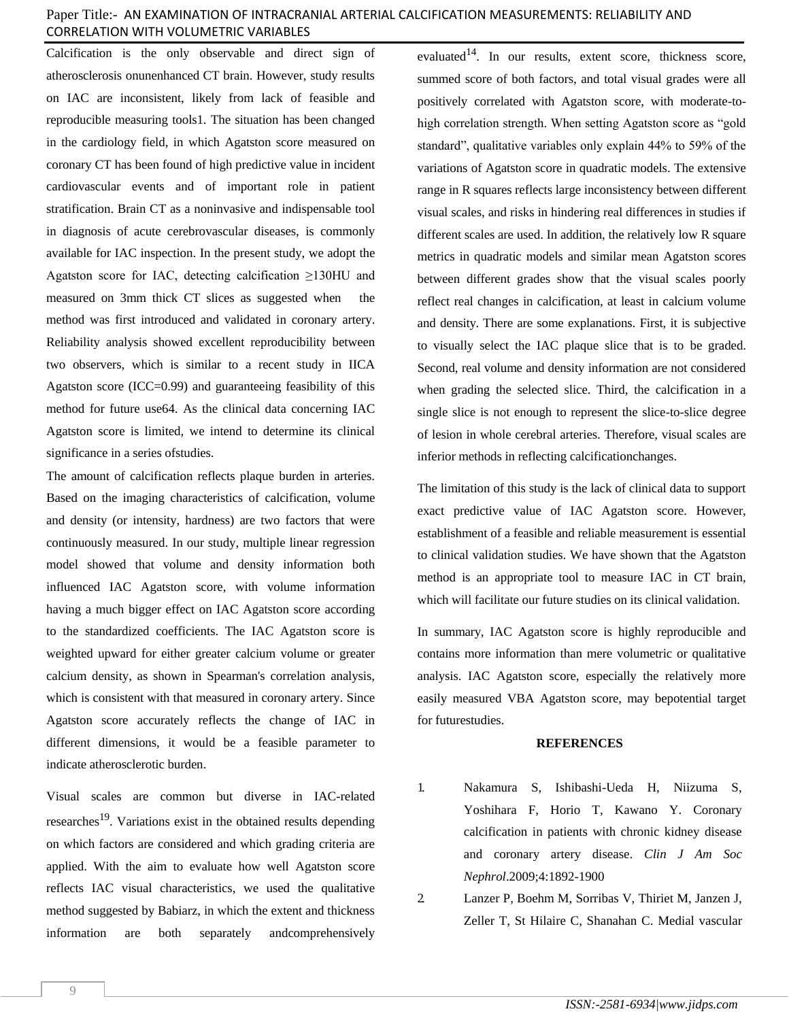Calcification is the only observable and direct sign of atherosclerosis onunenhanced CT brain. However, study results on IAC are inconsistent, likely from lack of feasible and reproducible measuring tools1. The situation has been changed in the cardiology field, in which Agatston score measured on coronary CT has been found of high predictive value in incident cardiovascular events and of important role in patient stratification. Brain CT as a noninvasive and indispensable tool in diagnosis of acute cerebrovascular diseases, is commonly available for IAC inspection. In the present study, we adopt the Agatston score for IAC, detecting calcification ≥130HU and measured on 3mm thick CT slices as suggested when the method was first introduced and validated in coronary artery. Reliability analysis showed excellent reproducibility between two observers, which is similar to a recent study in IICA Agatston score (ICC=0.99) and guaranteeing feasibility of this method for future use64. As the clinical data concerning IAC Agatston score is limited, we intend to determine its clinical significance in a series ofstudies.

The amount of calcification reflects plaque burden in arteries. Based on the imaging characteristics of calcification, volume and density (or intensity, hardness) are two factors that were continuously measured. In our study, multiple linear regression model showed that volume and density information both influenced IAC Agatston score, with volume information having a much bigger effect on IAC Agatston score according to the standardized coefficients. The IAC Agatston score is weighted upward for either greater calcium volume or greater calcium density, as shown in Spearman's correlation analysis, which is consistent with that measured in coronary artery. Since Agatston score accurately reflects the change of IAC in different dimensions, it would be a feasible parameter to indicate atherosclerotic burden.

Visual scales are common but diverse in IAC-related researches<sup>19</sup>. Variations exist in the obtained results depending on which factors are considered and which grading criteria are applied. With the aim to evaluate how well Agatston score reflects IAC visual characteristics, we used the qualitative method suggested by Babiarz, in which the extent and thickness information are both separately andcomprehensively

evaluated<sup>14</sup>. In our results, extent score, thickness score, summed score of both factors, and total visual grades were all positively correlated with Agatston score, with moderate-tohigh correlation strength. When setting Agatston score as "gold standard", qualitative variables only explain 44% to 59% of the variations of Agatston score in quadratic models. The extensive range in R squares reflects large inconsistency between different visual scales, and risks in hindering real differences in studies if different scales are used. In addition, the relatively low R square metrics in quadratic models and similar mean Agatston scores between different grades show that the visual scales poorly reflect real changes in calcification, at least in calcium volume and density. There are some explanations. First, it is subjective to visually select the IAC plaque slice that is to be graded. Second, real volume and density information are not considered when grading the selected slice. Third, the calcification in a single slice is not enough to represent the slice-to-slice degree of lesion in whole cerebral arteries. Therefore, visual scales are inferior methods in reflecting calcificationchanges.

The limitation of this study is the lack of clinical data to support exact predictive value of IAC Agatston score. However, establishment of a feasible and reliable measurement is essential to clinical validation studies. We have shown that the Agatston method is an appropriate tool to measure IAC in CT brain, which will facilitate our future studies on its clinical validation.

In summary, IAC Agatston score is highly reproducible and contains more information than mere volumetric or qualitative analysis. IAC Agatston score, especially the relatively more easily measured VBA Agatston score, may bepotential target for futurestudies.

#### **REFERENCES**

- 1. Nakamura S, Ishibashi-Ueda H, Niizuma S, Yoshihara F, Horio T, Kawano Y. Coronary calcification in patients with chronic kidney disease and coronary artery disease. *Clin J Am Soc Nephrol*.2009;4:1892-1900
- 2. Lanzer P, Boehm M, Sorribas V, Thiriet M, Janzen J, Zeller T, St Hilaire C, Shanahan C. Medial vascular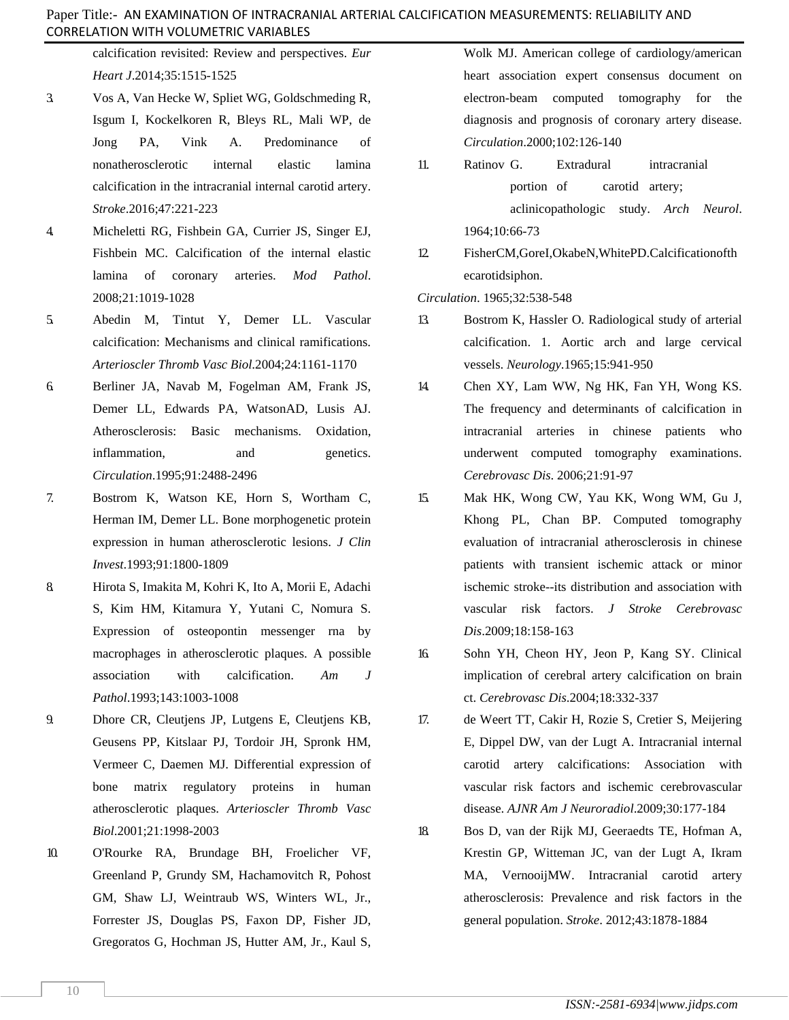calcification revisited: Review and perspectives. *Eur Heart J*.2014;35:1515-1525

- 3. Vos A, Van Hecke W, Spliet WG, Goldschmeding R, Isgum I, Kockelkoren R, Bleys RL, Mali WP, de Jong PA, Vink A. Predominance of nonatherosclerotic internal elastic lamina calcification in the intracranial internal carotid artery. *Stroke*.2016;47:221-223
- 4. Micheletti RG, Fishbein GA, Currier JS, Singer EJ, Fishbein MC. Calcification of the internal elastic lamina of coronary arteries. *Mod Pathol*. 2008;21:1019-1028
- 5. Abedin M, Tintut Y, Demer LL. Vascular calcification: Mechanisms and clinical ramifications. *Arterioscler Thromb Vasc Biol*.2004;24:1161-1170
- 6. Berliner JA, Navab M, Fogelman AM, Frank JS, Demer LL, Edwards PA, WatsonAD, Lusis AJ. Atherosclerosis: Basic mechanisms. Oxidation, inflammation, and genetics. *Circulation*.1995;91:2488-2496
- 7. Bostrom K, Watson KE, Horn S, Wortham C, Herman IM, Demer LL. Bone morphogenetic protein expression in human atherosclerotic lesions. *J Clin Invest*.1993;91:1800-1809
- 8. Hirota S, Imakita M, Kohri K, Ito A, Morii E, Adachi S, Kim HM, Kitamura Y, Yutani C, Nomura S. Expression of osteopontin messenger rna by macrophages in atherosclerotic plaques. A possible association with calcification. *Am J Pathol*.1993;143:1003-1008
- 9. Dhore CR, Cleutjens JP, Lutgens E, Cleutjens KB, Geusens PP, Kitslaar PJ, Tordoir JH, Spronk HM, Vermeer C, Daemen MJ. Differential expression of bone matrix regulatory proteins in human atherosclerotic plaques. *Arterioscler Thromb Vasc Biol*.2001;21:1998-2003
- <span id="page-5-1"></span>10. O'Rourke RA, Brundage BH, Froelicher VF, Greenland P, Grundy SM, Hachamovitch R, Pohost GM, Shaw LJ, Weintraub WS, Winters WL, Jr., Forrester JS, Douglas PS, Faxon DP, Fisher JD, Gregoratos G, Hochman JS, Hutter AM, Jr., Kaul S,

Wolk MJ. American college of cardiology/american heart association expert consensus document on electron-beam computed tomography for the diagnosis and prognosis of coronary artery disease. *Circulation*.2000;102:126-140

- 11. Ratinov G. Extradural intracranial portion of carotid artery; aclinicopathologic study. *Arch Neurol*. 1964;10:66-73
- 12. FisherCM,GoreI,OkabeN,WhitePD.Calcificationofth ecarotidsiphon.

*Circulation*. 1965;32:538-548

- 13. Bostrom K, Hassler O. Radiological study of arterial calcification. 1. Aortic arch and large cervical vessels. *Neurology*.1965;15:941-950
- <span id="page-5-0"></span>14. Chen XY, Lam WW, Ng HK, Fan YH, Wong KS. The frequency and determinants of calcification in intracranial arteries in chinese patients who underwent computed tomography examinations. *Cerebrovasc Dis*. 2006;21:91-97
- 15. Mak HK, Wong CW, Yau KK, Wong WM, Gu J, Khong PL, Chan BP. Computed tomography evaluation of intracranial atherosclerosis in chinese patients with transient ischemic attack or minor ischemic stroke--its distribution and association with vascular risk factors. *J Stroke Cerebrovasc Dis*.2009;18:158-163
- 16. Sohn YH, Cheon HY, Jeon P, Kang SY. Clinical implication of cerebral artery calcification on brain ct. *Cerebrovasc Dis*.2004;18:332-337
- 17. de Weert TT, Cakir H, Rozie S, Cretier S, Meijering E, Dippel DW, van der Lugt A. Intracranial internal carotid artery calcifications: Association with vascular risk factors and ischemic cerebrovascular disease. *AJNR Am J Neuroradiol*.2009;30:177-184
- 18. Bos D, van der Rijk MJ, Geeraedts TE, Hofman A, Krestin GP, Witteman JC, van der Lugt A, Ikram MA, VernooijMW. Intracranial carotid artery atherosclerosis: Prevalence and risk factors in the general population. *Stroke*. 2012;43:1878-1884